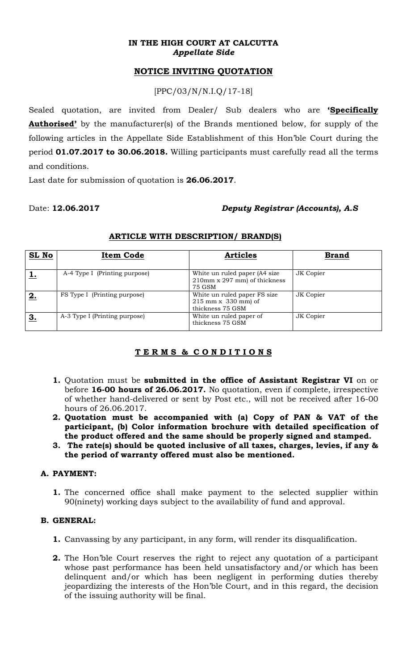#### **IN THE HIGH COURT AT CALCUTTA**  *Appellate Side*

# **NOTICE INVITING QUOTATION**

[PPC/03/N/N.I.Q/17-18]

Sealed quotation, are invited from Dealer/ Sub dealers who are **'Specifically Authorised'** by the manufacturer(s) of the Brands mentioned below, for supply of the following articles in the Appellate Side Establishment of this Hon'ble Court during the period **01.07.2017 to 30.06.2018.** Willing participants must carefully read all the terms and conditions.

Last date for submission of quotation is **26.06.2017**.

# Date: **12.06.2017** *Deputy Registrar (Accounts), A.S*

| SL No | <b>Item Code</b>              | <b>Articles</b>                                                           | <b>Brand</b> |
|-------|-------------------------------|---------------------------------------------------------------------------|--------------|
|       | A-4 Type I (Printing purpose) | White un ruled paper (A4 size)<br>210mm x 297 mm) of thickness<br>75 GSM  | JK Copier    |
| 2.    | FS Type I (Printing purpose)  | White un ruled paper FS size<br>$215$ mm x 330 mm) of<br>thickness 75 GSM | JK Copier    |
| 3.    | A-3 Type I (Printing purpose) | White un ruled paper of<br>thickness 75 GSM                               | JK Copier    |

### **ARTICLE WITH DESCRIPTION/ BRAND(S)**

# **T E R M S & C O N D I T I O N S**

- **1.** Quotation must be **submitted in the office of Assistant Registrar VI** on or before **16-00 hours of 26.06.2017.** No quotation, even if complete, irrespective of whether hand-delivered or sent by Post etc., will not be received after 16-00 hours of 26.06.2017.
- **2. Quotation must be accompanied with (a) Copy of PAN & VAT of the participant, (b) Color information brochure with detailed specification of the product offered and the same should be properly signed and stamped.**
- **3. The rate(s) should be quoted inclusive of all taxes, charges, levies, if any & the period of warranty offered must also be mentioned.**

# **A. PAYMENT:**

**1.** The concerned office shall make payment to the selected supplier within 90(ninety) working days subject to the availability of fund and approval.

### **B. GENERAL:**

- **1.** Canvassing by any participant, in any form, will render its disqualification.
- **2.** The Hon'ble Court reserves the right to reject any quotation of a participant whose past performance has been held unsatisfactory and/or which has been delinquent and/or which has been negligent in performing duties thereby jeopardizing the interests of the Hon'ble Court, and in this regard, the decision of the issuing authority will be final.